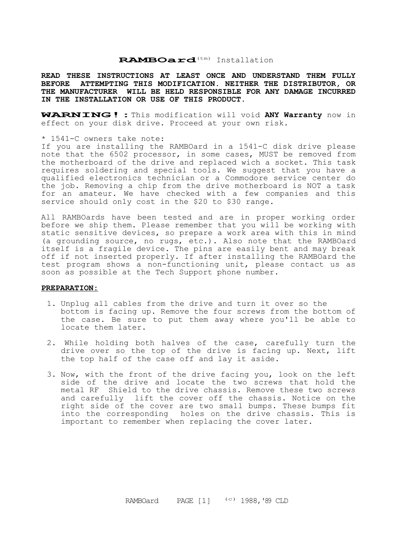#### **RAMBOard**(tm) Installation

**READ THESE INSTRUCTIONS AT LEAST ONCE AND UNDERSTAND THEM FULLY BEFORE ATTEMPTING THIS MODIFICATION. NEITHER THE DISTRIBUTOR, OR THE MANUFACTURER WILL BE HELD RESPONSIBLE FOR ANY DAMAGE INCURRED IN THE INSTALLATION OR USE OF THIS PRODUCT.**

**WARNING!:**This modification will void **ANY Warranty** now in effect on your disk drive. Proceed at your own risk.

#### \* 1541-C owners take note:

If you are installing the RAMBOard in a 1541-C disk drive please note that the 6502 processor, in some cases, MUST be removed from the motherboard of the drive and replaced wich a socket. This task requires soldering and special tools. We suggest that you have a qualified electronics technician or a Commodore service center do the job. Removing a chip from the drive motherboard is NOT a task for an amateur. We have checked with a few companies and this service should only cost in the \$20 to \$30 range.

All RAMBOards have been tested and are in proper working order before we ship them. Please remember that you will be working with static sensitive devices, so prepare a work area with this in mind (a grounding source, no rugs, etc.). Also note that the RAMBOard itself is a fragile device. The pins are easily bent and may break off if not inserted properly. If after installing the RAMBOard the test program shows a non-functioning unit, please contact us as soon as possible at the Tech Support phone number.

### **PREPARATION:**

- 1. Unplug all cables from the drive and turn it over so the bottom is facing up. Remove the four screws from the bottom of the case. Be sure to put them away where you'll be able to locate them later.
- 2. While holding both halves of the case, carefully turn the drive over so the top of the drive is facing up. Next, lift the top half of the case off and lay it aside.
- 3. Now, with the front of the drive facing you, look on the left side of the drive and locate the two screws that hold the metal RF Shield to the drive chassis. Remove these two screws and carefully lift the cover off the chassis. Notice on the right side of the cover are two small bumps. These bumps fit into the corresponding holes on the drive chassis. This is important to remember when replacing the cover later.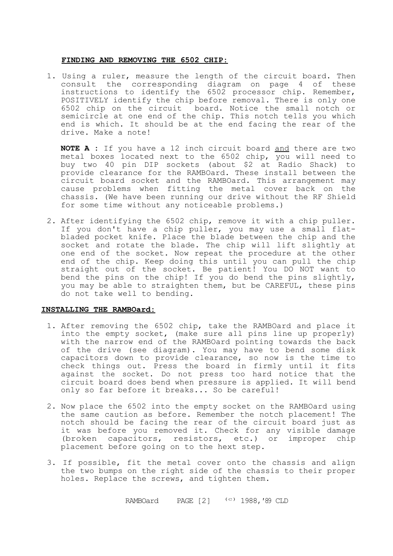### **FINDING AND REMOVING THE 6502 CHIP:**

1. Using a ruler, measure the length of the circuit board. Then consult the corresponding diagram on page 4 of these instructions to identify the 6502 processor chip. Remember, POSITIVELY identify the chip before removal. There is only one 6502 chip on the circuit board. Notice the small notch or semicircle at one end of the chip. This notch tells you which end is which. It should be at the end facing the rear of the drive. Make a note!

**NOTE A :** If you have a 12 inch circuit board and there are two metal boxes located next to the 6502 chip, you will need to buy two 40 pin DIP sockets (about \$2 at Radio Shack) to provide clearance for the RAMBOard. These install between the circuit board socket and the RAMBOard. This arrangement may cause problems when fitting the metal cover back on the chassis. (We have been running our drive without the RF Shield for some time without any noticeable problems.)

2. After identifying the 6502 chip, remove it with a chip puller. If you don't have a chip puller, you may use a small flatbladed pocket knife. Place the blade between the chip and the socket and rotate the blade. The chip will lift slightly at one end of the socket. Now repeat the procedure at the other end of the chip. Keep doing this until you can pull the chip straight out of the socket. Be patient! You DO NOT want to bend the pins on the chip! If you do bend the pins slightly, you may be able to straighten them, but be CAREFUL, these pins do not take well to bending.

# **INSTALLING THE RAMBOard:**

- 1. After removing the 6502 chip, take the RAMBOard and place it into the empty socket, (make sure all pins line up properly) with the narrow end of the RAMBOard pointing towards the back of the drive (see diagram). You may have to bend some disk capacitors down to provide clearance, so now is the time to check things out. Press the board in firmly until it fits against the socket. Do not press too hard notice that the circuit board does bend when pressure is applied. It will bend only so far before it breaks... So be careful!
- 2. Now place the 6502 into the empty socket on the RAMBOard using the same caution as before. Remember the notch placement! The notch should be facing the rear of the circuit board just as it was before you removed it. Check for any visible damage (broken capacitors, resistors, etc.) or improper chip placement before going on to the hext step.
- 3. If possible, fit the metal cover onto the chassis and align the two bumps on the right side of the chassis to their proper holes. Replace the screws, and tighten them.

RAMBOard PAGE [2] (c) 1988,*'*<sup>89</sup> CLD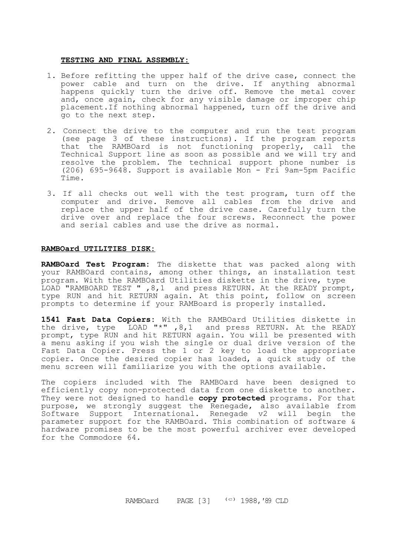#### **TESTING AND FINAL ASSEMBLY:**

- 1. Before refitting the upper half of the drive case, connect the power cable and turn on the drive. If anything abnormal happens quickly turn the drive off. Remove the metal cover and, once again, check for any visible damage or improper chip placement.If nothing abnormal happened, turn off the drive and go to the next step.
- 2. Connect the drive to the computer and run the test program (see page 3 of these instructions). If the program reports that the RAMBOard is not functioning properly, call the Technical Support line as soon as possible and we will try and resolve the problem. The technical support phone number is (206) 695-9648. Support is available Mon - Fri 9am-5pm Pacific Time.
- 3. If all checks out well with the test program, turn off the computer and drive. Remove all cables from the drive and replace the upper half of the drive case. Carefully turn the drive over and replace the four screws. Reconnect the power and serial cables and use the drive as normal.

# **RAMBOard UTILITIES DISK:**

**RAMBOard Test Program:** The diskette that was packed along with your RAMBOard contains, among other things, an installation test program. With the RAMBOard Utilities diskette in the drive, type LOAD "RAMBOARD TEST " ,8,1 and press RETURN. At the READY prompt, type RUN and hit RETURN again. At this point, follow on screen prompts to determine if your RAMBoard is properly installed.

**1541 Fast Data Copiers:** With the RAMBOard Utilities diskette in the drive, type LOAD "\*" ,8,1 and press RETURN. At the READY prompt, type RUN and hit RETURN again. You will be presented with a menu asking if you wish the single or dual drive version of the Fast Data Copier. Press the 1 or 2 key to load the appropriate copier. Once the desired copier has loaded, a quick study of the menu screen will familiarize you with the options available.

The copiers included with The RAMBOard have been designed to efficiently copy non-protected data from one diskette to another. They were not designed to handle **copy protected** programs. For that purpose, we strongly suggest the Renegade, also available from Software Support International. Renegade v2 will begin the parameter support for the RAMBOard. This combination of software & hardware promises to be the most powerful archiver ever developed for the Commodore 64.